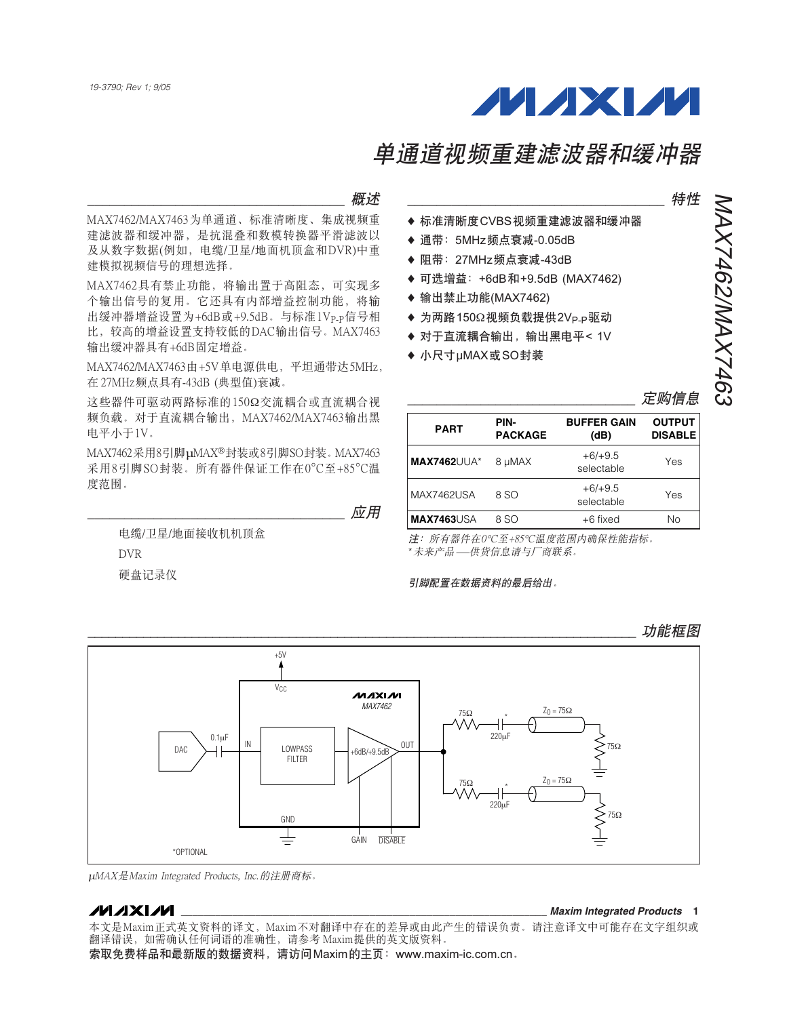

### $\overline{w}$

MAX7462/MAX7463为单通道、标准清晰度、集成视频重 建滤波器和缓冲器,是抗混叠和数模转换器平滑滤波以 及从数字数据(例如, 电缆/卫星/地面机顶盒和DVR)中重 建模拟视频信号的理想选择。

MAX7462具有禁止功能, 将输出置于高阳态, 可实现多 个输出信号的复用。它还具有内部增益控制功能, 将输 出缓冲器增益设置为+6dB或+9.5dB。与标准1Vp.p信号相 比,较高的增益设置支持较低的DAC输出信号。MAX7463 输出缓冲器具有+6dB固定增益。

MAX7462/MAX7463由+5V单电源供电, 平坦通带达5MHz, 在 27MHz频点具有-43dB (典型值)衰减。

这些器件可驱动两路标准的150Ω交流耦合或直流耦合视 频负载。对于直流耦合输出, MAX7462/MAX7463输出黑 电平小于1V。

MAX7462采用8引脚µMAX®封装或8引脚SO封装。MAX7463 采用8引脚SO封装。所有器件保证工作在0°C至+85°C温 度范围。

 $\dot{\rm \Delta\!Z}$ 用

电缆/卫星/地面接收机机顶盒 **DVR** 硬盘记录仪

NAX7462/MAX7463

**MAX7462/MAX7463** 

- ◆ 标准清晰度CVBS视频重建滤波器和缓冲器
- ◆ 通带: 5MHz频点衰减-0.05dB
- ◆ 阻带: 27MHz频点衰减-43dB
- ◆ 可选增益: +6dB和+9.5dB (MAX7462)
- ◆ 输出禁止功能(MAX7462)
- ◆ 为两路150Ω视频负载提供2V<sub>P-P</sub>驱动
- ◆ 对于直流耦合输出, 输出黑电平< 1V
- ◆ 小尺寸µMAX或SO封装

| <b>PART</b>        | PIN-<br><b>PACKAGE</b> | <b>BUFFER GAIN</b><br>(dB) | <b>OUTPUT</b><br><b>DISABLE</b> |
|--------------------|------------------------|----------------------------|---------------------------------|
| <b>MAX7462UUA*</b> | 8 µMAX                 | $+6/+9.5$<br>selectable    | Yes                             |
| <b>MAX7462USA</b>  | 8 SO                   | $+6/+9.5$<br>selectable    | Yes                             |
| <b>MAX7463USA</b>  | 8 SO                   | +6 fixed                   | Nο                              |

注: 所有器件在0℃至+85℃温度范围内确保性能指标。 \*未来产品——供货信息请与厂商联系。

#### 引脚配置在数据资料的最后给出。

``````````````````````````````````````````````````````````````````````````````` ถౖᅄ  $+5V$ V<sub>CC</sub> **MAXIM** MAX7462  $Z_0 = 75Ω$ 75Ω \* 220μF 0.1μF  $DAC$   $\overline{\phantom{a}}$   $\overline{\phantom{a}}$   $\overline{\phantom{a}}$   $\overline{\phantom{a}}$   $\overline{\phantom{a}}$   $\overline{\phantom{a}}$   $\overline{\phantom{a}}$   $\overline{\phantom{a}}$   $\overline{\phantom{a}}$   $\overline{\phantom{a}}$   $\overline{\phantom{a}}$   $\overline{\phantom{a}}$   $\overline{\phantom{a}}$   $\overline{\phantom{a}}$   $\overline{\phantom{a}}$   $\overline{\phantom{a}}$   $\overline{\phantom{a}}$   $\overline{\phantom{a}}$  OUT LOWPASS 75Ω  $+6dB/+9.5dB$ **FILTER**  $Z_0 = 75Ω$ 75Ω \* 220μF  $\sum$ <sub>75Ω</sub> **GND** ⋢ GAIN DISABLE \*OPTIONAL

μΜΑΧ是Maxim Integrated Products, Inc. 的注册商标。

### **MAXIM**

本文是Maxim正式英文资料的译文, Maxim不对翻译中存在的差异或由此产生的错误负责。请注意译文中可能存在文字组织或 翻译错误, 如需确认任何词语的准确性, 请参考 Maxim提供的英文版资料。

索取免费样品和最新版的数据资料,请访问Maxim的主页: www.maxim-ic.com.cn。

#### **\_\_\_\_\_\_\_\_\_\_\_\_\_\_\_\_\_\_\_\_\_\_\_\_\_\_\_\_\_\_\_\_\_\_\_\_\_\_\_\_\_\_\_\_\_\_\_\_\_\_\_\_\_\_\_\_\_\_\_\_\_\_\_\_** *Maxim Integrated Products* **1**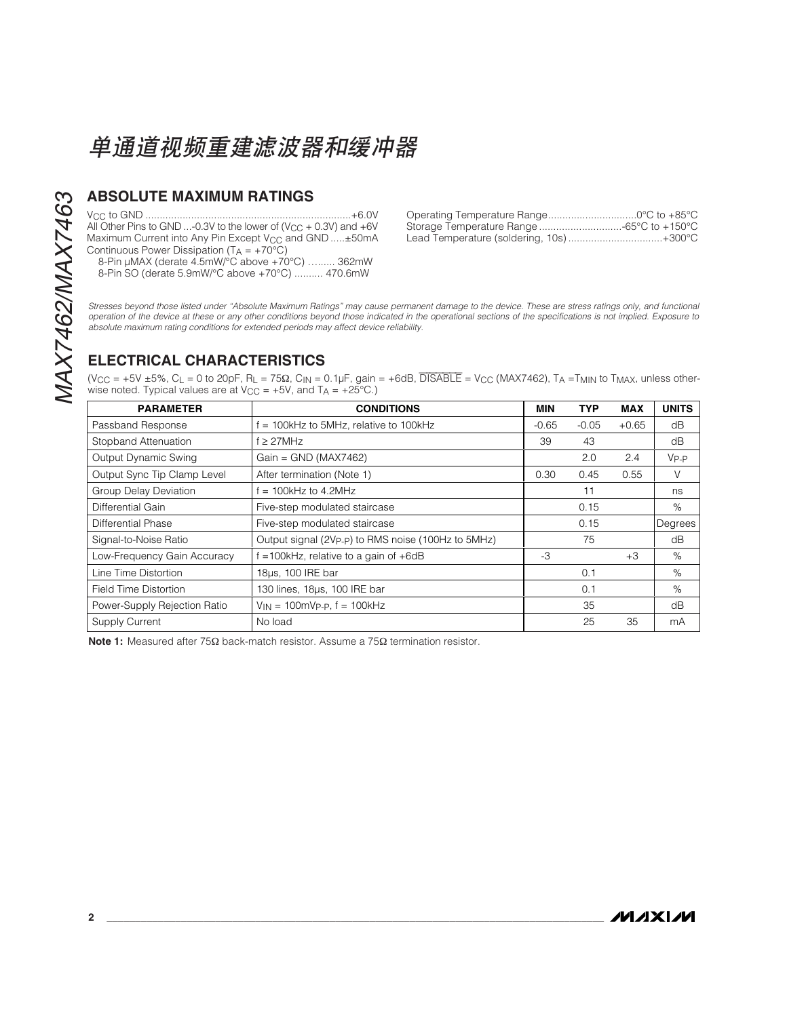## **ABSOLUTE MAXIMUM RATINGS**

VCC to GND ........................................................................+6.0V All Other Pins to GND ...-0.3V to the lower of (V<sub>CC</sub> + 0.3V) and +6V Maximum Current into Any Pin Except V<sub>CC</sub> and GND .....±50mA Continuous Power Dissipation  $(T_A = +70^{\circ}C)$ 

8-Pin μMAX (derate 4.5mW/°C above +70°C) …...... 362mW 8-Pin SO (derate 5.9mW/°C above +70°C) .......... 470.6mW

| Storage Temperature Range -65°C to +150°C |  |
|-------------------------------------------|--|
| Lead Temperature (soldering, 10s)+300°C   |  |

Stresses beyond those listed under "Absolute Maximum Ratings" may cause permanent damage to the device. These are stress ratings only, and functional operation of the device at these or any other conditions beyond those indicated in the operational sections of the specifications is not implied. Exposure to absolute maximum rating conditions for extended periods may affect device reliability.

## **ELECTRICAL CHARACTERISTICS**

 $(V_{CC} = +5V \pm 5\%$ , C<sub>L</sub> = 0 to 20pF, R<sub>L</sub> = 75 $\Omega$ , C<sub>IN</sub> = 0.1µF, gain = +6dB, DISABLE = V<sub>CC</sub> (MAX7462), T<sub>A</sub> = T<sub>MIN</sub> to T<sub>MAX</sub>, unless otherwise noted. Typical values are at  $V_{CC} = +5V$ , and  $T_A = +25°C$ .)

| <b>PARAMETER</b>             | <b>CONDITIONS</b>                                               | MIN     | <b>TYP</b> | <b>MAX</b> | <b>UNITS</b> |
|------------------------------|-----------------------------------------------------------------|---------|------------|------------|--------------|
| Passband Response            | $= 100$ kHz to 5MHz, relative to 100kHz                         | $-0.65$ | $-0.05$    | $+0.65$    | dB           |
| Stopband Attenuation         | $f \geq 27$ MHz                                                 | 39      | 43         |            | dB           |
| Output Dynamic Swing         | $Gain = GND (MAX7462)$                                          |         | 2.0        | 2.4        | $V_{P-P}$    |
| Output Sync Tip Clamp Level  | After termination (Note 1)                                      | 0.30    | 0.45       | 0.55       | V            |
| <b>Group Delay Deviation</b> | $= 100$ kHz to 4.2MHz                                           |         | 11         |            | ns           |
| Differential Gain            | Five-step modulated staircase                                   |         | 0.15       |            | %            |
| Differential Phase           | Five-step modulated staircase                                   |         | 0.15       |            | Degrees      |
| Signal-to-Noise Ratio        | Output signal (2Vp <sub>-P</sub> ) to RMS noise (100Hz to 5MHz) |         | 75         |            | dB           |
| Low-Frequency Gain Accuracy  | $=$ 100kHz, relative to a gain of $+6dB$                        | $-3$    |            | $+3$       | $\%$         |
| Line Time Distortion         | 18µs, 100 IRE bar                                               |         | 0.1        |            | $\%$         |
| Field Time Distortion        | 130 lines, 18µs, 100 IRE bar                                    |         | 0.1        |            | $\%$         |
| Power-Supply Rejection Ratio | $V_{IN} = 100 \text{mVp.p. f} = 100 \text{kHz}$                 |         | 35         |            | dB           |
| Supply Current               | No load                                                         |         | 25         | 35         | mA           |

**Note 1:** Measured after 75Ω back-match resistor. Assume a 75Ω termination resistor.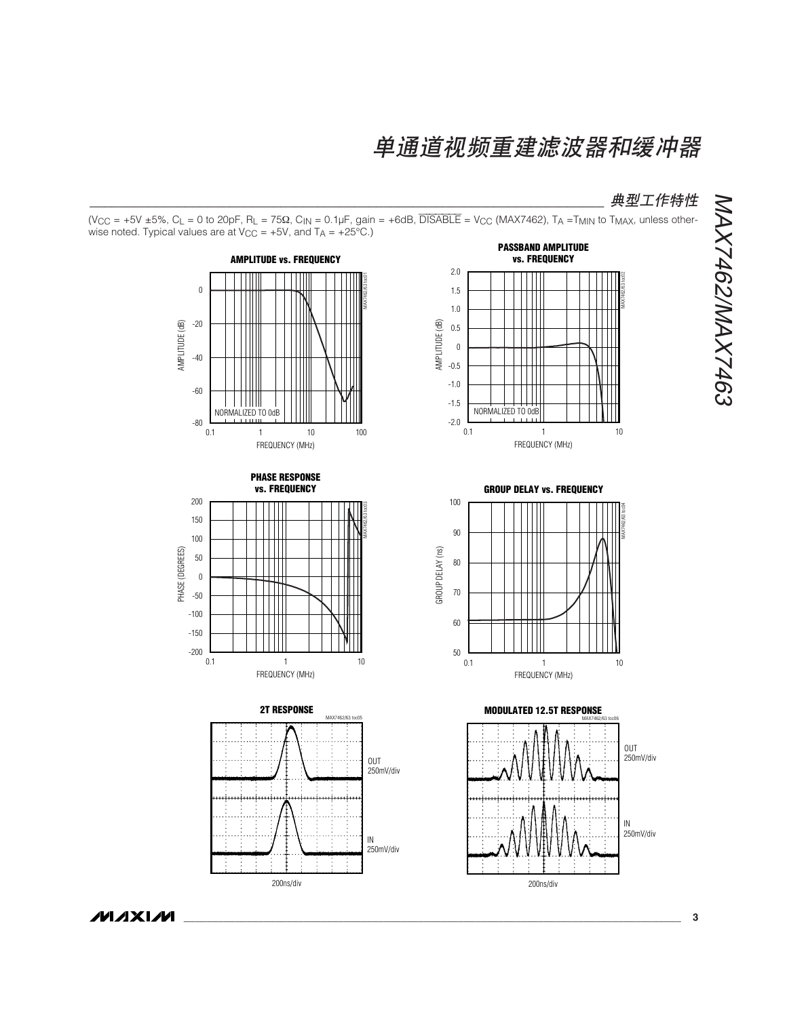**典型工作特性** 

(V<sub>CC</sub> = +5V ±5%, C<sub>L</sub> = 0 to 20pF, R<sub>L</sub> = 75 $\Omega$ , C<sub>IN</sub> = 0.1µF, gain = +6dB, DISABLE = V<sub>CC</sub> (MAX7462), T<sub>A</sub> = T<sub>MIN</sub> to T<sub>MAX</sub>, unless otherwise noted. Typical values are at  $V_{CC} = +5V$ , and  $T_A = +25°C$ .)













**MAXIM**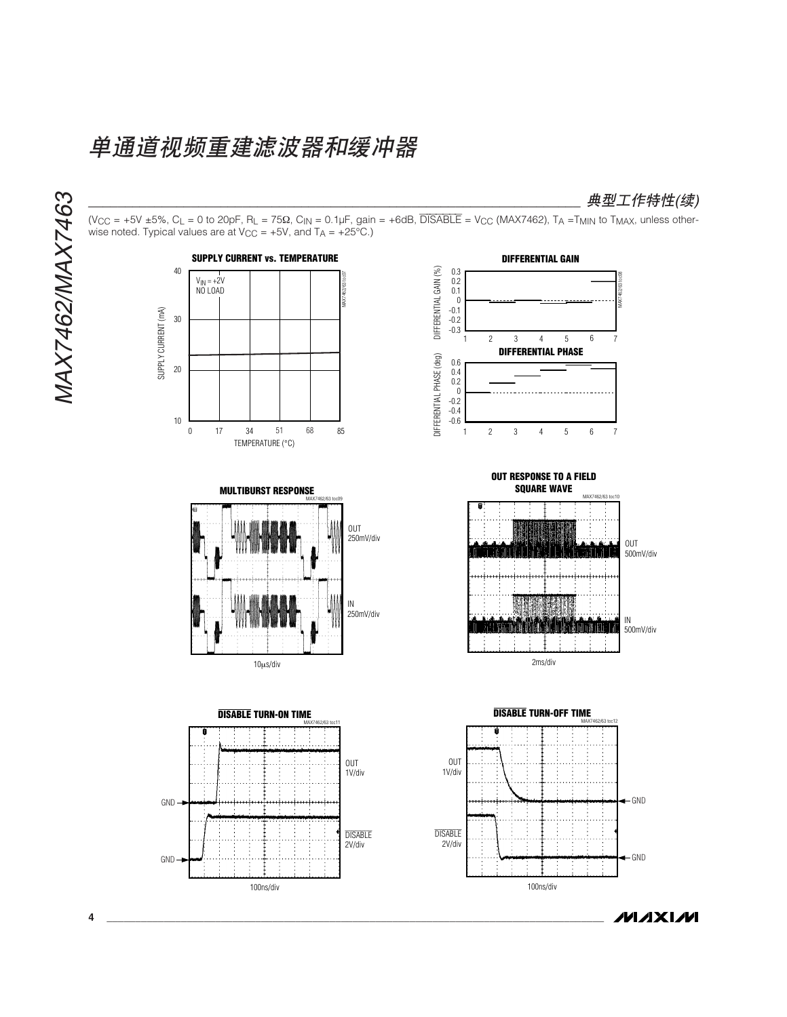100ns/div





**MAXIM** 

100ns/div

**4 \_\_\_\_\_\_\_\_\_\_\_\_\_\_\_\_\_\_\_\_\_\_\_\_\_\_\_\_\_\_\_\_\_\_\_\_\_\_\_\_\_\_\_\_\_\_\_\_\_\_\_\_\_\_\_\_\_\_\_\_\_\_\_\_\_\_\_\_\_\_\_\_\_\_\_\_\_\_\_\_\_\_\_\_\_\_\_**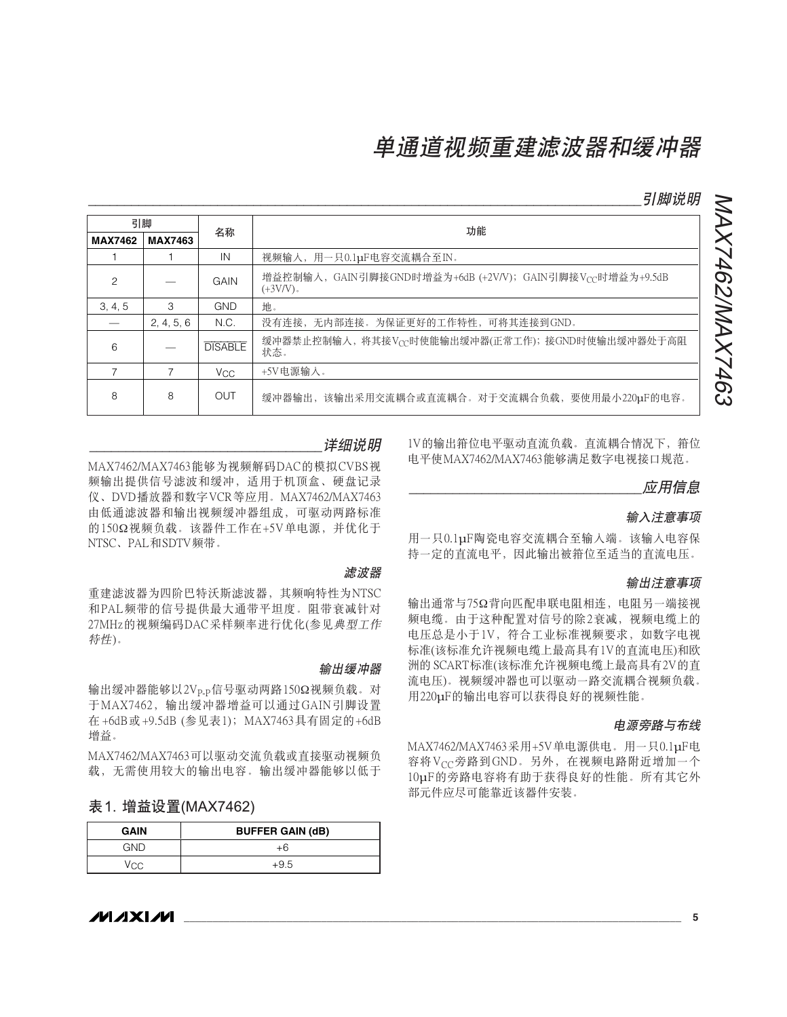`````````````````````````````````````````````````````````````````````````````୭ႁී

NAX7462/MAX7463

MAX7462/MAX7463

| 引脚             |                |                 | 功能                                                                      |  |
|----------------|----------------|-----------------|-------------------------------------------------------------------------|--|
| <b>MAX7462</b> | <b>MAX7463</b> | 名称              |                                                                         |  |
|                |                | IN              | 视频输入, 用一只0.1µF电容交流耦合至IN。                                                |  |
| 2              |                | GAIN            | 增益控制输入, GAIN引脚接GND时增益为+6dB (+2V/V); GAIN引脚接Vcc时增益为+9.5dB<br>$(+3V/V)$ . |  |
| 3, 4, 5        | 3              | <b>GND</b>      | 地.                                                                      |  |
|                | 2, 4, 5, 6     | N.C.            | 没有连接, 无内部连接。为保证更好的工作特性, 可将其连接到GND。                                      |  |
| 6              |                | <b>DISABLE</b>  | 缓冲器禁止控制输入, 将其接Vcc时使能输出缓冲器(正常工作); 接GND时使输出缓冲器处于高阻<br>状态。                 |  |
|                |                | V <sub>CC</sub> | +5V电源输入。                                                                |  |
| 8              | 8              | OUT             | 缓冲器输出,该输出采用交流耦合或直流耦合。对于交流耦合负载,要使用最小220μF的电容。                            |  |

### 详细说明

MAX7462/MAX7463 能够为视频解码DAC的模拟CVBS视 频输出提供信号滤波和缓冲, 适用于机顶盒、硬盘记录 仪、DVD播放器和数字VCR等应用。MAX7462/MAX7463 由低通滤波器和输出视频缓冲器组成, 可驱动两路标准 的150Ω视频负载。该器件工作在+5V单电源,并优化于 NTSC、PAL和SDTV频带。

滤波器

输出缓冲器

重建滤波器为四阶巴特沃斯滤波器, 其频响特性为NTSC 和PAL频带的信号提供最大通带平坦度。阻带衰减针对 27MHz的视频编码DAC采样频率进行优化(参见典型工作 特性)。

输出缓冲器能够以2Vp.p信号驱动两路150Ω视频负载。对 于MAX7462, 输出缓冲器增益可以通过GAIN引脚设置 在+6dB或+9.5dB (参见表1); MAX7463具有固定的+6dB 增益。

MAX7462/MAX7463可以驱动交流负载或直接驱动视频负 载,无需使用较大的输出电容。输出缓冲器能够以低于

### 表 1. 增益设置(MAX7462)

| <b>GAIN</b> | <b>BUFFER GAIN (dB)</b> |
|-------------|-------------------------|
| GND         | $+b$                    |
| Vec         | $+9.5$                  |

1V的输出箝位电平驱动直流负载。直流耦合情况下, 箝位 电平使MAX7462/MAX7463能够满足数字电视接口规范。

应用信息

### 输入注意事项

用一只0.1uF陶瓷电容交流耦合至输入端。该输入电容保 持一定的直流电平、因此输出被箝位至适当的直流电压。

#### 输出注意事项

输出通常与75Ω背向匹配串联电阻相连、电阻另一端接视 频电缆。由于这种配置对信号的除2衰减, 视频电缆上的 电压总是小于1V,符合工业标准视频要求,如数字电视 标准(该标准允许视频电缆上最高具有1V的直流电压)和欧 洲的 SCART标准(该标准允许视频电缆上最高具有2V的直 流电压)。视频缓冲器也可以驱动一路交流耦合视频负载。 用220μF的输出电容可以获得良好的视频性能。

#### 由源旁路与布线

MAX7462/MAX7463采用+5V单电源供电。用一只0.1uF电 容将Vcc旁路到GND。另外, 在视频电路附近增加一个 10µF的旁路电容将有助于获得良好的性能。所有其它外 部元件应尽可能靠近该器件安装。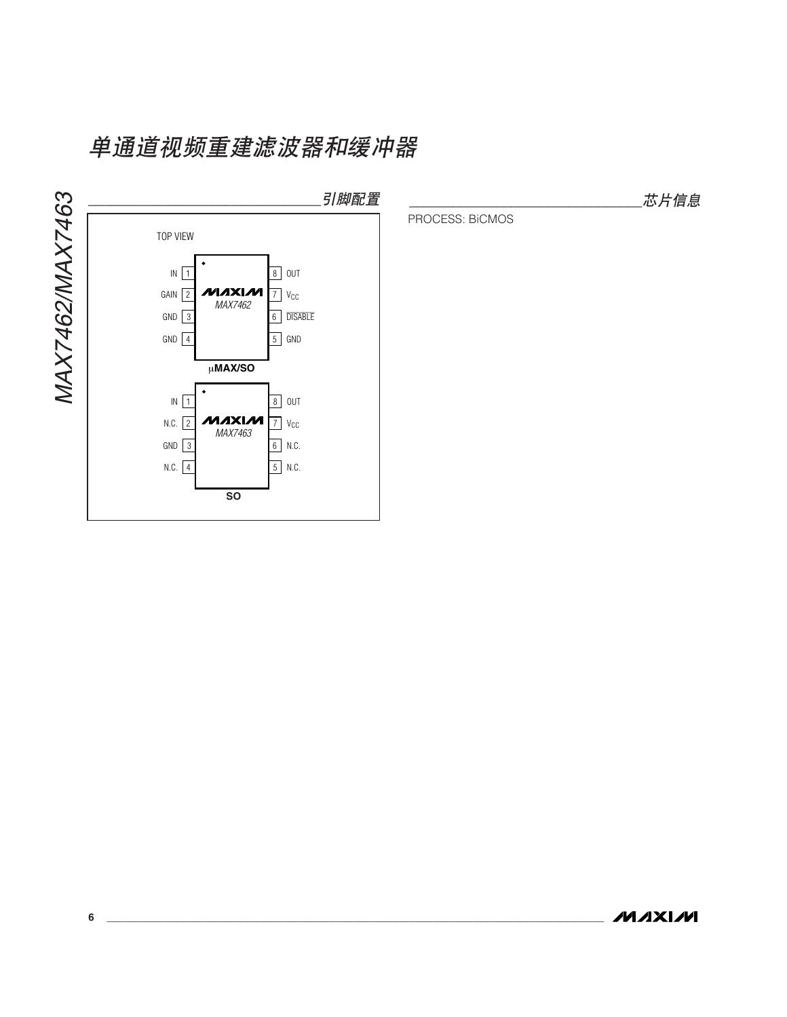

芯片信息

PROCESS: BiCMOS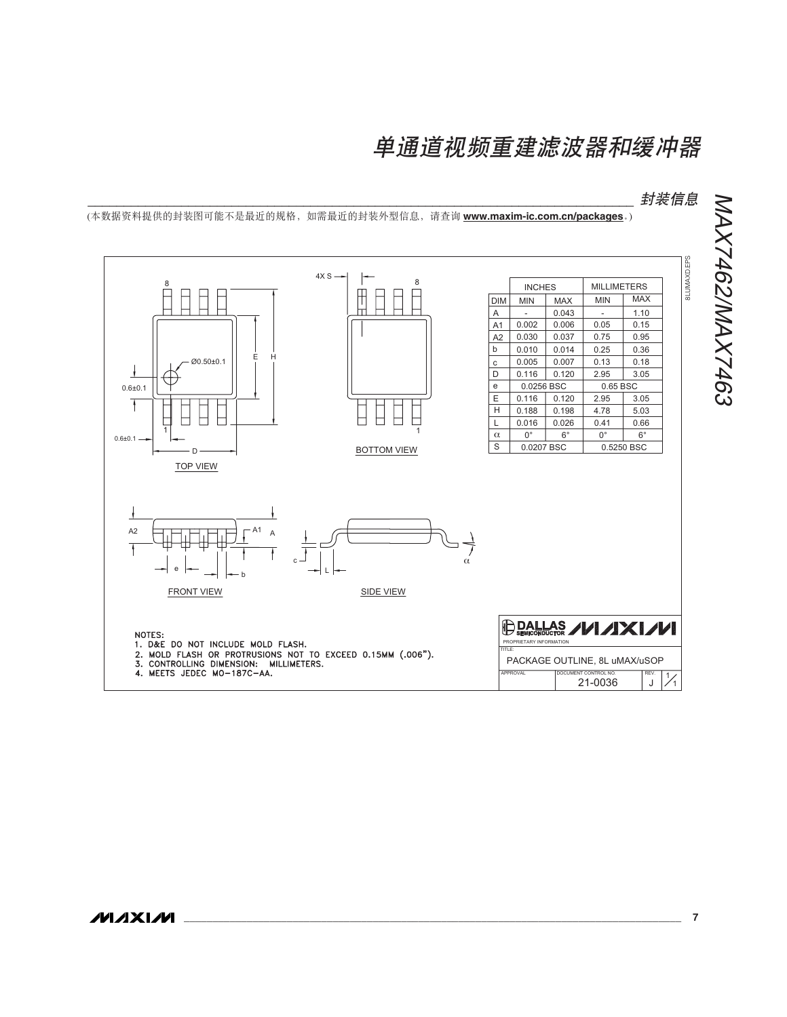```````````````````````````````````````````````````````````````````````````` ॖᓤቧᇦ

(本数据资料提供的封装图可能不是最近的规格,如需最近的封装外型信息,请查询 www.maxim-ic.com.cn/packages.)